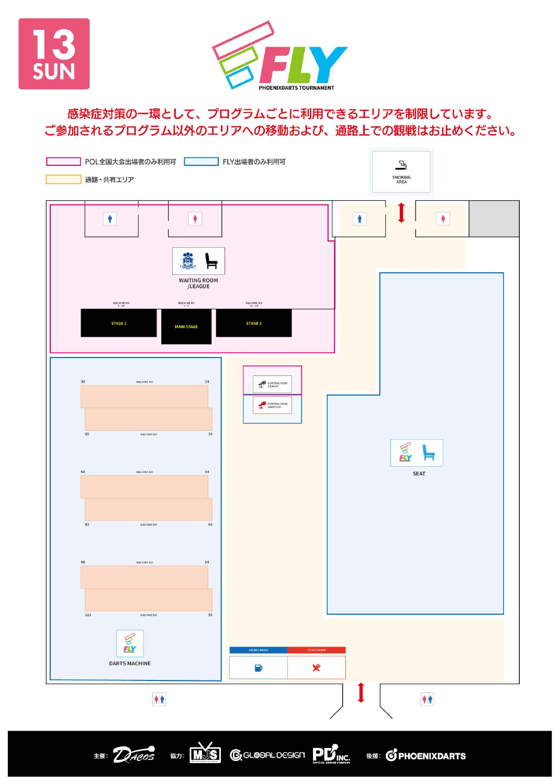



## 感染症対策の一環として、プログラムごとに利用できるエリアを制限しています。 ご参加されるプログラム以外のエリアへの移動および、通路上での観戦はお止めください。

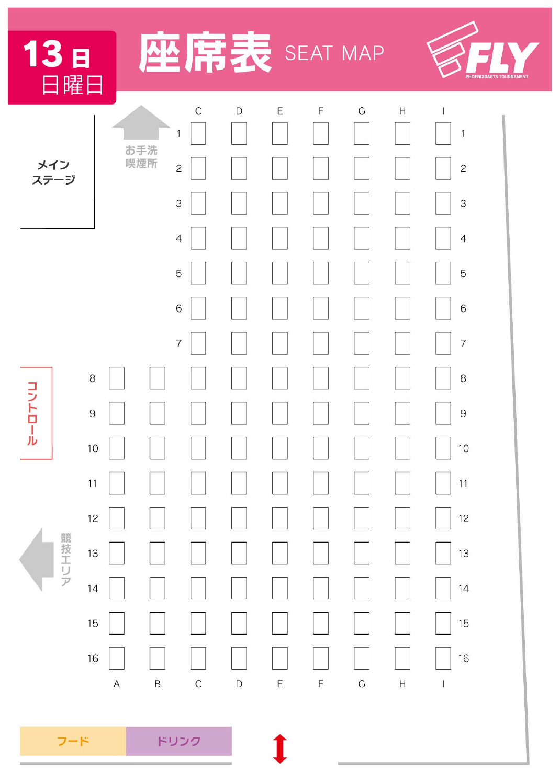| 13 <sub>B</sub><br>日曜日 |                               |            |                                                   | 吊表 SEAT MAP   |   |   |   |                           |                                             | PHOENIXDARTS TOURNAMENT |
|------------------------|-------------------------------|------------|---------------------------------------------------|---------------|---|---|---|---------------------------|---------------------------------------------|-------------------------|
| メイン<br>ステージ            |                               | お手洗<br>喫煙所 | $\mathsf C$<br>1<br>$\overline{c}$<br>$\mathsf 3$ | $\mathsf{D}$  | Ε | F | G | $\mathsf{H}$              | $\mathbf{1}$<br>$\mathbf{Z}$<br>3           |                         |
|                        |                               |            | $\overline{4}$<br>5<br>6                          |               |   |   |   |                           | $\overline{4}$<br>5<br>6                    |                         |
| コントロール                 | 8<br>$\mathcal{Q}$<br>10      |            | $\overline{7}$                                    |               |   |   |   |                           | $\overline{7}$<br>8<br>$\overline{9}$<br>10 |                         |
| 競技エリア                  | $11$<br>12<br>13              |            |                                                   |               |   |   |   |                           | 11<br>$12 \overline{)}$<br>13               |                         |
|                        | 14<br>15<br>16<br>$\mathsf A$ | $\sf B$    | $\mathsf C$                                       | $\mathsf{D}%$ | E | F | G | $\boldsymbol{\mathsf{H}}$ | 14<br>15<br>16<br>$\overline{1}$            |                         |

フード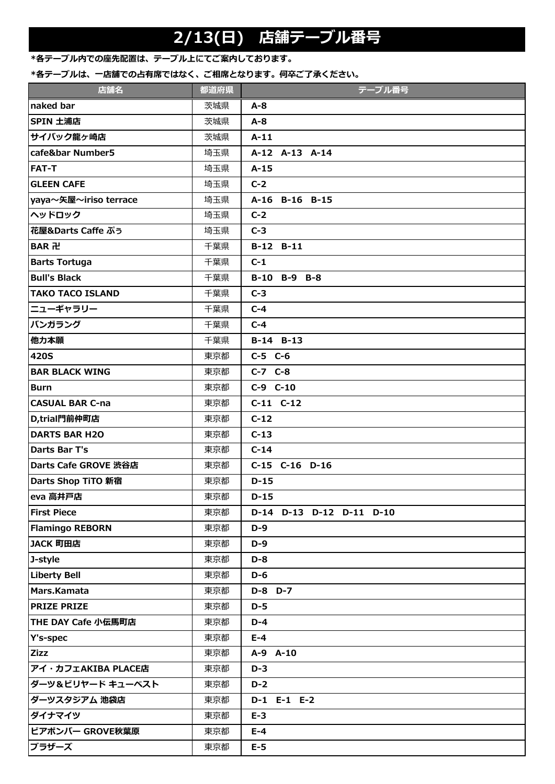# **2/13(日) 店舗テーブル番号**

### **\*各テーブル内での座先配置は、テーブル上にてご案内しております。**

#### \*各テーブルは、一店舗での占有席ではなく、ご相席となります。何卒ご了承ください。

| 店舗名                     | 都道府県 | テーブル番号                   |
|-------------------------|------|--------------------------|
| naked bar               | 茨城県  | $A - 8$                  |
| SPIN 土浦店                | 茨城県  | $A - 8$                  |
| サイバック龍ヶ崎店               | 茨城県  | $A-11$                   |
| cafe&bar Number5        | 埼玉県  | A-12 A-13 A-14           |
| <b>FAT-T</b>            | 埼玉県  | $A-15$                   |
| <b>GLEEN CAFE</b>       | 埼玉県  | $C-2$                    |
| yaya~矢屋~iriso terrace   | 埼玉県  | A-16 B-16 B-15           |
| ヘッドロック                  | 埼玉県  | $C-2$                    |
| 花屋&Darts Caffe ぷぅ       | 埼玉県  | $C-3$                    |
| BAR 卍                   | 千葉県  | B-12 B-11                |
| <b>Barts Tortuga</b>    | 千葉県  | $C-1$                    |
| <b>Bull's Black</b>     | 千葉県  | B-10 B-9 B-8             |
| <b>TAKO TACO ISLAND</b> | 千葉県  | $C-3$                    |
| ニューギャラリー                | 千葉県  | $C-4$                    |
| バンガラング                  | 千葉県  | $C-4$                    |
| 他力本願                    | 千葉県  | B-14 B-13                |
| <b>420S</b>             | 東京都  | $C-5$ $C-6$              |
| <b>BAR BLACK WING</b>   | 東京都  | $C-7$ $C-8$              |
| <b>Burn</b>             | 東京都  | $C-9$ $C-10$             |
| <b>CASUAL BAR C-na</b>  | 東京都  | $C-11$ $C-12$            |
| D,trial門前仲町店            | 東京都  | $C-12$                   |
| <b>DARTS BAR H2O</b>    | 東京都  | $C-13$                   |
| Darts Bar T's           | 東京都  | $C-14$                   |
| Darts Cafe GROVE 渋谷店    | 東京都  | C-15 C-16 D-16           |
| Darts Shop TiTO 新宿      | 東京都  | $D-15$                   |
| eva 高井戸店                | 東京都  | $D-15$                   |
| <b>First Piece</b>      | 東京都  | D-14 D-13 D-12 D-11 D-10 |
| <b>Flamingo REBORN</b>  | 東京都  | $D-9$                    |
| JACK 町田店                | 東京都  | $D-9$                    |
| J-style                 | 東京都  | D-8                      |
| <b>Liberty Bell</b>     | 東京都  | $D-6$                    |
| Mars.Kamata             | 東京都  | D-8 D-7                  |
| <b>PRIZE PRIZE</b>      | 東京都  | $D-5$                    |
| THE DAY Cafe 小伝馬町店      | 東京都  | $D-4$                    |
| Y's-spec                | 東京都  | $E-4$                    |
| <b>Zizz</b>             | 東京都  | A-9 A-10                 |
| アイ・カフェAKIBA PLACE店      | 東京都  | $D-3$                    |
| ダーツ&ビリヤード キューベスト        | 東京都  | $D-2$                    |
| ダーツスタジアム 池袋店            | 東京都  | D-1 E-1 E-2              |
| ダイナマイツ                  | 東京都  | $E-3$                    |
| ビアポンバー GROVE秋葉原         | 東京都  | $E-4$                    |
| ブラザーズ                   | 東京都  | $E-5$                    |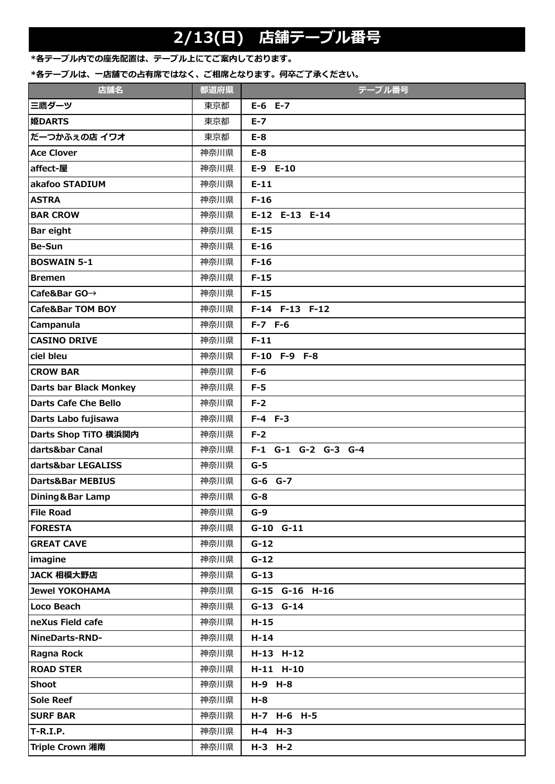# **2/13(日) 店舗テーブル番号**

### **\*各テーブル内での座先配置は、テーブル上にてご案内しております。**

#### \*各テーブルは、一店舗での占有席ではなく、ご相席となります。何卒ご了承ください。

| 店舗名                           | 都道府県 | テーブル番号              |
|-------------------------------|------|---------------------|
| 三鷹ダーツ                         | 東京都  | $E-6$ $E-7$         |
| 姫DARTS                        | 東京都  | $E - 7$             |
| だーつかふえの店 イワオ                  | 東京都  | $E-8$               |
| <b>Ace Clover</b>             | 神奈川県 | $E-8$               |
| affect-屋                      | 神奈川県 | $E-9$ $E-10$        |
| akafoo STADIUM                | 神奈川県 | $E-11$              |
| <b>ASTRA</b>                  | 神奈川県 | $F-16$              |
| <b>BAR CROW</b>               | 神奈川県 | E-12 E-13 E-14      |
| <b>Bar eight</b>              | 神奈川県 | $E-15$              |
| <b>Be-Sun</b>                 | 神奈川県 | $E-16$              |
| <b>BOSWAIN 5-1</b>            | 神奈川県 | $F-16$              |
| <b>Bremen</b>                 | 神奈川県 | $F-15$              |
| Cafe&Bar GO→                  | 神奈川県 | $F-15$              |
| <b>Cafe&amp;Bar TOM BOY</b>   | 神奈川県 | F-14 F-13 F-12      |
| Campanula                     | 神奈川県 | $F-7$ $F-6$         |
| <b>CASINO DRIVE</b>           | 神奈川県 | $F-11$              |
| ciel bleu                     | 神奈川県 | F-10 F-9 F-8        |
| <b>CROW BAR</b>               | 神奈川県 | $F-6$               |
| <b>Darts bar Black Monkey</b> | 神奈川県 | $F-5$               |
| <b>Darts Cafe Che Bello</b>   | 神奈川県 | $F-2$               |
| Darts Labo fujisawa           | 神奈川県 | $F-4$ $F-3$         |
| Darts Shop TiTO 横浜関内          | 神奈川県 | $F-2$               |
| darts&bar Canal               | 神奈川県 | F-1 G-1 G-2 G-3 G-4 |
| darts&bar LEGALISS            | 神奈川県 | $G-5$               |
| Darts&Bar MEBIUS              | 神奈川県 | G-6 G-7             |
| Dining & Bar Lamp             | 神奈川県 | $G-8$               |
| <b>File Road</b>              | 神奈川県 | $G-9$               |
| <b>FORESTA</b>                | 神奈川県 | $G-10$ $G-11$       |
| <b>GREAT CAVE</b>             | 神奈川県 | $G-12$              |
| imagine                       | 神奈川県 | $G-12$              |
| JACK 相模大野店                    | 神奈川県 | $G-13$              |
| <b>Jewel YOKOHAMA</b>         | 神奈川県 | G-15 G-16 H-16      |
| Loco Beach                    | 神奈川県 | G-13 G-14           |
| neXus Field cafe              | 神奈川県 | $H-15$              |
| NineDarts-RND-                | 神奈川県 | $H-14$              |
| Ragna Rock                    | 神奈川県 | H-13 H-12           |
| <b>ROAD STER</b>              | 神奈川県 | H-11 H-10           |
| <b>Shoot</b>                  | 神奈川県 | H-9 H-8             |
| <b>Sole Reef</b>              | 神奈川県 | $H - 8$             |
| <b>SURF BAR</b>               | 神奈川県 | H-7 H-6 H-5         |
| T-R.I.P.                      | 神奈川県 | $H-4$ $H-3$         |
| <b>Triple Crown 湘南</b>        | 神奈川県 | $H-3$ $H-2$         |